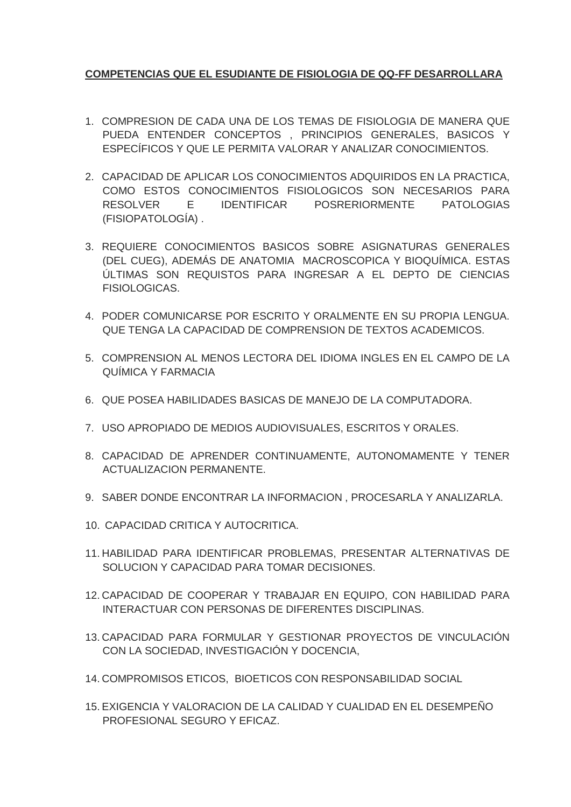## **COMPETENCIAS QUE EL ESUDIANTE DE FISIOLOGIA DE QQ-FF DESARROLLARA**

- 1. COMPRESION DE CADA UNA DE LOS TEMAS DE FISIOLOGIA DE MANERA QUE PUEDA ENTENDER CONCEPTOS , PRINCIPIOS GENERALES, BASICOS Y ESPECÍFICOS Y QUE LE PERMITA VALORAR Y ANALIZAR CONOCIMIENTOS.
- 2. CAPACIDAD DE APLICAR LOS CONOCIMIENTOS ADQUIRIDOS EN LA PRACTICA, COMO ESTOS CONOCIMIENTOS FISIOLOGICOS SON NECESARIOS PARA RESOLVER E IDENTIFICAR POSRERIORMENTE PATOLOGIAS (FISIOPATOLOGÍA) .
- 3. REQUIERE CONOCIMIENTOS BASICOS SOBRE ASIGNATURAS GENERALES (DEL CUEG), ADEMÁS DE ANATOMIA MACROSCOPICA Y BIOQUÍMICA. ESTAS ÚLTIMAS SON REQUISTOS PARA INGRESAR A EL DEPTO DE CIENCIAS FISIOLOGICAS.
- 4. PODER COMUNICARSE POR ESCRITO Y ORALMENTE EN SU PROPIA LENGUA. QUE TENGA LA CAPACIDAD DE COMPRENSION DE TEXTOS ACADEMICOS.
- 5. COMPRENSION AL MENOS LECTORA DEL IDIOMA INGLES EN EL CAMPO DE LA QUÍMICA Y FARMACIA
- 6. QUE POSEA HABILIDADES BASICAS DE MANEJO DE LA COMPUTADORA.
- 7. USO APROPIADO DE MEDIOS AUDIOVISUALES, ESCRITOS Y ORALES.
- 8. CAPACIDAD DE APRENDER CONTINUAMENTE, AUTONOMAMENTE Y TENER ACTUALIZACION PERMANENTE.
- 9. SABER DONDE ENCONTRAR LA INFORMACION , PROCESARLA Y ANALIZARLA.
- 10. CAPACIDAD CRITICA Y AUTOCRITICA.
- 11. HABILIDAD PARA IDENTIFICAR PROBLEMAS, PRESENTAR ALTERNATIVAS DE SOLUCION Y CAPACIDAD PARA TOMAR DECISIONES.
- 12. CAPACIDAD DE COOPERAR Y TRABAJAR EN EQUIPO, CON HABILIDAD PARA INTERACTUAR CON PERSONAS DE DIFERENTES DISCIPLINAS.
- 13. CAPACIDAD PARA FORMULAR Y GESTIONAR PROYECTOS DE VINCULACIÓN CON LA SOCIEDAD, INVESTIGACIÓN Y DOCENCIA,
- 14. COMPROMISOS ETICOS, BIOETICOS CON RESPONSABILIDAD SOCIAL
- 15. EXIGENCIA Y VALORACION DE LA CALIDAD Y CUALIDAD EN EL DESEMPEÑO PROFESIONAL SEGURO Y EFICAZ.